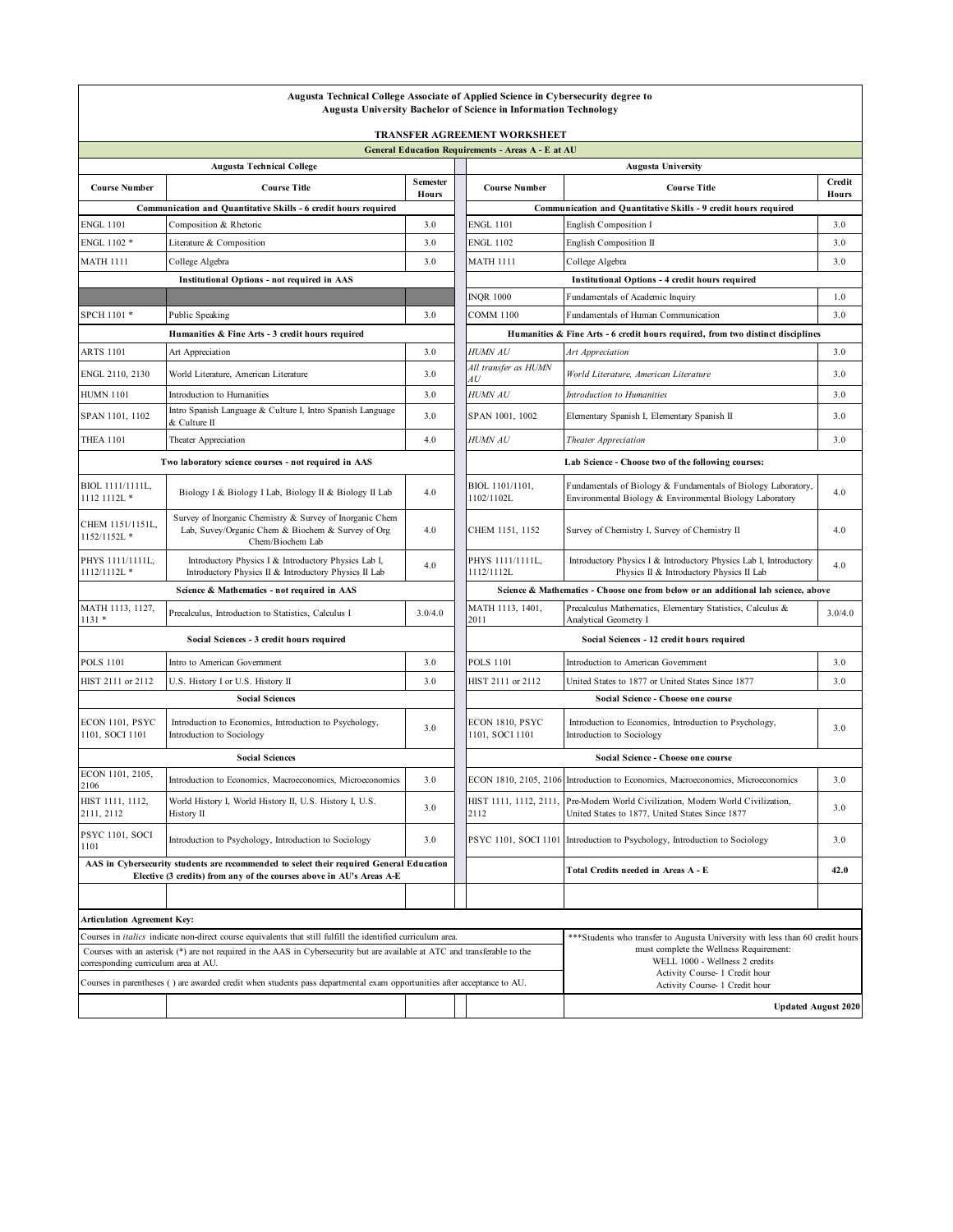|                                                                                                                                                                  | Augusta Technical College Associate of Applied Science in Cybersecurity degree to                                                                                                                                                                 |                                                                                 | <b>Augusta University Bachelor of Science in Information Technology</b>           |                                                                                                                                                                                               |                 |  |
|------------------------------------------------------------------------------------------------------------------------------------------------------------------|---------------------------------------------------------------------------------------------------------------------------------------------------------------------------------------------------------------------------------------------------|---------------------------------------------------------------------------------|-----------------------------------------------------------------------------------|-----------------------------------------------------------------------------------------------------------------------------------------------------------------------------------------------|-----------------|--|
|                                                                                                                                                                  |                                                                                                                                                                                                                                                   |                                                                                 | <b>TRANSFER AGREEMENT WORKSHEET</b>                                               |                                                                                                                                                                                               |                 |  |
|                                                                                                                                                                  |                                                                                                                                                                                                                                                   |                                                                                 | General Education Requirements - Areas A - E at AU                                |                                                                                                                                                                                               |                 |  |
|                                                                                                                                                                  | <b>Augusta Technical College</b>                                                                                                                                                                                                                  |                                                                                 |                                                                                   | <b>Augusta University</b>                                                                                                                                                                     |                 |  |
| <b>Course Number</b>                                                                                                                                             | <b>Course Title</b>                                                                                                                                                                                                                               | <b>Semester</b><br><b>Hours</b>                                                 | <b>Course Number</b>                                                              | <b>Course Title</b>                                                                                                                                                                           | Credit<br>Hours |  |
| Communication and Quantitative Skills - 6 credit hours required                                                                                                  |                                                                                                                                                                                                                                                   |                                                                                 | Communication and Quantitative Skills - 9 credit hours required                   |                                                                                                                                                                                               |                 |  |
| ENGL 1101                                                                                                                                                        | Composition & Rhetoric                                                                                                                                                                                                                            | 3.0                                                                             | <b>ENGL 1101</b>                                                                  | English Composition I                                                                                                                                                                         | 3.0             |  |
| ENGL 1102 *                                                                                                                                                      | Literature & Composition                                                                                                                                                                                                                          | 3.0                                                                             | <b>ENGL 1102</b>                                                                  | English Composition II                                                                                                                                                                        | 3.0             |  |
| <b>MATH 1111</b>                                                                                                                                                 | College Algebra                                                                                                                                                                                                                                   | 3.0                                                                             | <b>MATH 1111</b>                                                                  | College Algebra                                                                                                                                                                               | 3.0             |  |
|                                                                                                                                                                  | <b>Institutional Options - not required in AAS</b>                                                                                                                                                                                                |                                                                                 |                                                                                   | <b>Institutional Options - 4 credit hours required</b>                                                                                                                                        |                 |  |
|                                                                                                                                                                  |                                                                                                                                                                                                                                                   |                                                                                 | <b>INQR 1000</b>                                                                  | Fundamentals of Academic Inquiry                                                                                                                                                              | 1.0             |  |
| SPCH 1101 *                                                                                                                                                      | Public Speaking                                                                                                                                                                                                                                   | 3.0                                                                             | <b>COMM 1100</b>                                                                  | Fundamentals of Human Communication                                                                                                                                                           | 3.0             |  |
| Humanities & Fine Arts - 3 credit hours required                                                                                                                 |                                                                                                                                                                                                                                                   | Humanities & Fine Arts - 6 credit hours required, from two distinct disciplines |                                                                                   |                                                                                                                                                                                               |                 |  |
| ARTS 1101                                                                                                                                                        | Art Appreciation                                                                                                                                                                                                                                  | 3.0                                                                             | <b>HUMN AU</b>                                                                    | Art Appreciation                                                                                                                                                                              | 3.0             |  |
| ENGL 2110, 2130                                                                                                                                                  | World Literature, American Literature                                                                                                                                                                                                             | 3.0                                                                             | All transfer as HUMN<br>AU                                                        | World Literature, American Literature                                                                                                                                                         | 3.0             |  |
| <b>HUMN 1101</b>                                                                                                                                                 | Introduction to Humanities                                                                                                                                                                                                                        | 3.0                                                                             | <b>HUMN AU</b>                                                                    | Introduction to Humanities                                                                                                                                                                    | 3.0             |  |
| SPAN 1101, 1102                                                                                                                                                  | Intro Spanish Language & Culture I, Intro Spanish Language<br>& Culture II                                                                                                                                                                        | 3.0                                                                             | SPAN 1001, 1002                                                                   | Elementary Spanish I, Elementary Spanish II                                                                                                                                                   | 3.0             |  |
| <b>THEA 1101</b>                                                                                                                                                 | Theater Appreciation                                                                                                                                                                                                                              | 4.0                                                                             | <b>HUMN AU</b>                                                                    | Theater Appreciation                                                                                                                                                                          | 3.0             |  |
| Two laboratory science courses - not required in AAS                                                                                                             |                                                                                                                                                                                                                                                   |                                                                                 |                                                                                   | Lab Science - Choose two of the following courses:                                                                                                                                            |                 |  |
| BIOL 1111/1111L,<br>1112 1112L *                                                                                                                                 | Biology I & Biology I Lab, Biology II & Biology II Lab                                                                                                                                                                                            | 4.0                                                                             | BIOL 1101/1101.<br>1102/1102L                                                     | Fundamentals of Biology & Fundamentals of Biology Laboratory,<br>Environmental Biology & Environmental Biology Laboratory                                                                     | 4.0             |  |
| CHEM 1151/1151L,<br>1152/1152L*                                                                                                                                  | Survey of Inorganic Chemistry & Survey of Inorganic Chem<br>Lab, Suvey/Organic Chem & Biochem & Survey of Org<br>Chem/Biochem Lab                                                                                                                 | 4.0                                                                             | CHEM 1151, 1152                                                                   | Survey of Chemistry I, Survey of Chemistry II                                                                                                                                                 | 4.0             |  |
| PHYS 1111/1111L,<br>1112/1112L*                                                                                                                                  | Introductory Physics I & Introductory Physics Lab I,<br>Introductory Physics II & Introductory Physics II Lab                                                                                                                                     | 4.0                                                                             | PHYS 1111/1111L,<br>1112/1112L                                                    | Introductory Physics I & Introductory Physics Lab I, Introductory<br>Physics II & Introductory Physics II Lab                                                                                 | 4.0             |  |
| Science & Mathematics - not required in AAS                                                                                                                      |                                                                                                                                                                                                                                                   |                                                                                 | Science & Mathematics - Choose one from below or an additional lab science, above |                                                                                                                                                                                               |                 |  |
| MATH 1113, 1127,<br>$1131*$                                                                                                                                      | Precalculus, Introduction to Statistics, Calculus I                                                                                                                                                                                               | 3.0/4.0                                                                         | MATH 1113, 1401,<br>2011                                                          | Precalculus Mathematics, Elementary Statistics, Calculus &<br>Analytical Geometry I                                                                                                           | 3.0/4.0         |  |
| Social Sciences - 3 credit hours required                                                                                                                        |                                                                                                                                                                                                                                                   |                                                                                 | Social Sciences - 12 credit hours required                                        |                                                                                                                                                                                               |                 |  |
| <b>POLS 1101</b>                                                                                                                                                 | Intro to American Government                                                                                                                                                                                                                      | 3.0                                                                             | <b>POLS 1101</b>                                                                  | Introduction to American Government                                                                                                                                                           | 3.0             |  |
| HIST 2111 or 2112                                                                                                                                                | U.S. History I or U.S. History II                                                                                                                                                                                                                 | 3.0                                                                             | HIST 2111 or 2112                                                                 | United States to 1877 or United States Since 1877                                                                                                                                             | 3.0             |  |
| <b>Social Sciences</b>                                                                                                                                           |                                                                                                                                                                                                                                                   |                                                                                 | Social Science - Choose one course                                                |                                                                                                                                                                                               |                 |  |
| ECON 1101, PSYC<br>1101, SOCI 1101                                                                                                                               | Introduction to Economics, Introduction to Psychology,<br>Introduction to Sociology                                                                                                                                                               | 3.0                                                                             | ECON 1810, PSYC<br>1101, SOCI 1101                                                | Introduction to Economics, Introduction to Psychology,<br>Introduction to Sociology                                                                                                           | 3.0             |  |
| <b>Social Sciences</b>                                                                                                                                           |                                                                                                                                                                                                                                                   |                                                                                 | Social Science - Choose one course                                                |                                                                                                                                                                                               |                 |  |
| ECON 1101, 2105,<br>2106                                                                                                                                         | Introduction to Economics, Macroeconomics, Microeconomics                                                                                                                                                                                         | 3.0                                                                             |                                                                                   | ECON 1810, 2105, 2106 Introduction to Economics, Macroeconomics, Microeconomics                                                                                                               | 3.0             |  |
| HIST 1111, 1112,<br>2111, 2112                                                                                                                                   | World History I, World History II, U.S. History I, U.S.<br>History II                                                                                                                                                                             | 3.0                                                                             | 2112                                                                              | HIST 1111, 1112, 2111, Pre-Modern World Civilization, Modern World Civilization,<br>United States to 1877, United States Since 1877                                                           | 3.0             |  |
| PSYC 1101, SOCI<br>1101                                                                                                                                          | Introduction to Psychology, Introduction to Sociology                                                                                                                                                                                             | 3.0                                                                             |                                                                                   | PSYC 1101, SOCI 1101 Introduction to Psychology, Introduction to Sociology                                                                                                                    | 3.0             |  |
| AAS in Cybersecurity students are recommended to select their required General Education<br>Elective (3 credits) from any of the courses above in AU's Areas A-E |                                                                                                                                                                                                                                                   |                                                                                 |                                                                                   | Total Credits needed in Areas A - E                                                                                                                                                           | 42.0            |  |
|                                                                                                                                                                  |                                                                                                                                                                                                                                                   |                                                                                 |                                                                                   |                                                                                                                                                                                               |                 |  |
| <b>Articulation Agreement Key:</b>                                                                                                                               |                                                                                                                                                                                                                                                   |                                                                                 |                                                                                   |                                                                                                                                                                                               |                 |  |
| corresponding curriculum area at AU.                                                                                                                             | Courses in <i>italics</i> indicate non-direct course equivalents that still fulfill the identified curriculum area.<br>Courses with an asterisk (*) are not required in the AAS in Cybersecurity but are available at ATC and transferable to the |                                                                                 |                                                                                   | *** Students who transfer to Augusta University with less than 60 credit hours<br>must complete the Wellness Requirement:<br>WELL 1000 - Wellness 2 credits<br>Activity Course- 1 Credit hour |                 |  |
|                                                                                                                                                                  | Courses in parentheses () are awarded credit when students pass departmental exam opportunities after acceptance to AU.                                                                                                                           | Activity Course- 1 Credit hour                                                  |                                                                                   |                                                                                                                                                                                               |                 |  |
| <b>Updated August 2020</b>                                                                                                                                       |                                                                                                                                                                                                                                                   |                                                                                 |                                                                                   |                                                                                                                                                                                               |                 |  |